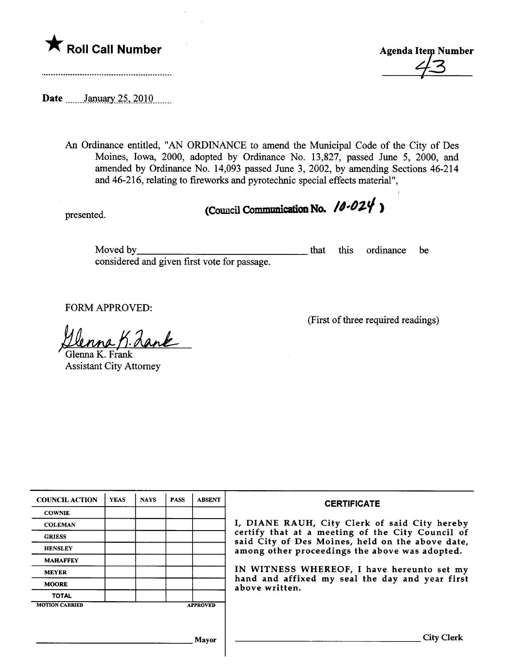

Date manuary 25, 2010

An Ordinance entitled, "AN ORDINANCE to amend the Muncipal Code of the City of Des Moines, Iowa, 2000, adopted by Ordinance No. 13,827, passed June 5, 2000, and amended by Ordinance No. 14,093 passed June 3, 2002, by amending Sections 46-214 and 46-216, relating to fireworks and pyrotechnic special effects material",

presented. (Council Communication No.  $10-024$ )

Moved by considered and given first vote for passage. that this ordinance be

FORM APPROVED:<br><u>Illenna B. Land</u><br>Glenna K. Frank

Assistant City Attorney

(First of thee required readings)

| <b>COUNCIL ACTION</b> | <b>YEAS</b> | <b>NAYS</b> | <b>PASS</b> | <b>ABSENT</b>   | <b>CERTIFICATE</b>                                                                                                                                                                                                                                                                                                         |
|-----------------------|-------------|-------------|-------------|-----------------|----------------------------------------------------------------------------------------------------------------------------------------------------------------------------------------------------------------------------------------------------------------------------------------------------------------------------|
| <b>COWNIE</b>         |             |             |             |                 | I, DIANE RAUH, City Clerk of said City hereby<br>certify that at a meeting of the City Council of<br>said City of Des Moines, held on the above date,<br>among other proceedings the above was adopted.<br>IN WITNESS WHEREOF, I have hereunto set my<br>hand and affixed my seal the day and year first<br>above written. |
| <b>COLEMAN</b>        |             |             |             |                 |                                                                                                                                                                                                                                                                                                                            |
| <b>GRIESS</b>         |             |             |             |                 |                                                                                                                                                                                                                                                                                                                            |
| <b>HENSLEY</b>        |             |             |             |                 |                                                                                                                                                                                                                                                                                                                            |
| <b>MAHAFFEY</b>       |             |             |             |                 |                                                                                                                                                                                                                                                                                                                            |
| <b>MEYER</b>          |             |             |             |                 |                                                                                                                                                                                                                                                                                                                            |
| <b>MOORE</b>          |             |             |             |                 |                                                                                                                                                                                                                                                                                                                            |
| <b>TOTAL</b>          |             |             |             |                 |                                                                                                                                                                                                                                                                                                                            |
| <b>MOTION CARRIED</b> |             |             |             | <b>APPROVED</b> |                                                                                                                                                                                                                                                                                                                            |
|                       |             |             |             |                 |                                                                                                                                                                                                                                                                                                                            |
|                       |             |             |             |                 |                                                                                                                                                                                                                                                                                                                            |
| <b>Mayor</b>          |             |             |             |                 | City Clerl                                                                                                                                                                                                                                                                                                                 |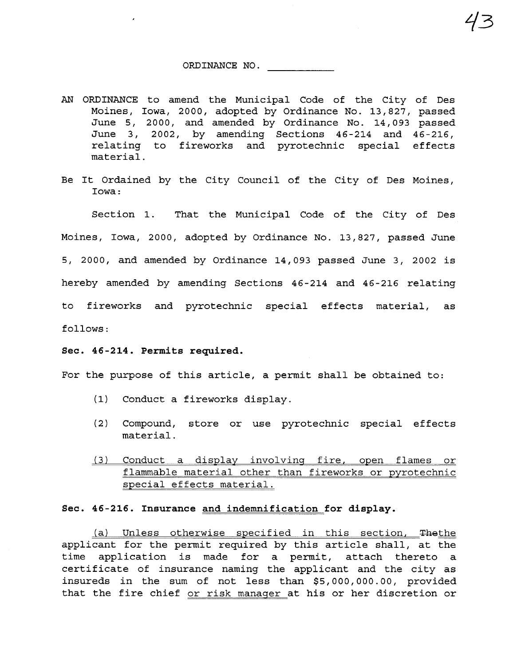## ORDINANCE NO.

13

- AN ORDINANCE to amend the Municipal Code of the City of Des Moines, Iowa, 2000, adopted by Ordinance No. 13,827, passed June 5, 2000, and amended by Ordinance No. 14,093 passed June 3,2002, by amending Sections 46-214 and 46-216, relating to fireworks and pyrotechnic special effects material.
- Be It Ordained by the City Council of the City of Des Moines, Iowa:

Section 1. That the Municipal Code of the City of Des Moines, Iowa, 2000, adopted by Ordinance No. 13,827, passed June 5, 2000, and amended by Ordinance 14,093 passed June 3, 2002 is hereby amended by amending Sections 46-214 and 46-216 relating to fireworks and pyrotechnic special effects material, as follows:

## Sec. 46-214. Permits required.

For the purpose of this article, a permit shall be obtained to:

- (1) Conduct a fireworks display.
- (2) Compound, store or use pyrotechnic special effects material.
- (3) Conduct a display involving fire, open flames or flammable material other than fireworks or pyrotechnic special effects material.

## Sec. 46-216. Insurance and indemnification for display.

(a) Unless otherwise specified in this section, Thethe applicant for the permit required by this article shall, at the time application is made for a permit, attach thereto a certificate of insurance naming the applicant and the city as insureds in the sum of not less than \$5,000,000.00, provided that the fire chief or risk manager at his or her discretion or